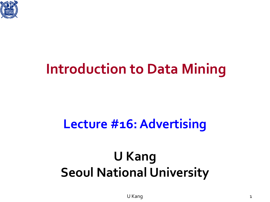

### **Introduction to Data Mining**

### **Lecture #16: Advertising**

### **U Kang Seoul National University**

U Kang 1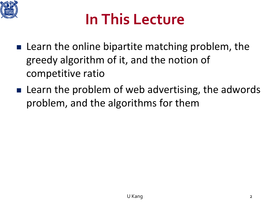

### **In This Lecture**

- $\blacksquare$  Learn the online bipartite matching problem, the greedy algorithm of it, and the notion of competitive ratio
- $\blacksquare$  Learn the problem of web advertising, the adwords problem, and the algorithms for them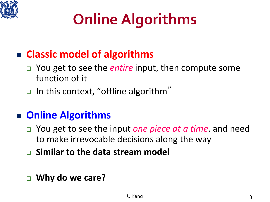

# **Online Algorithms**

### **Classic model of algorithms**

- You get to see the *entire* input, then compute some function of it
- $\Box$  In this context, "offline algorithm"

#### **Online Algorithms**

- You get to see the input *one piece at a time*, and need to make irrevocable decisions along the way
- **Similar to the data stream model**
- **Why do we care?**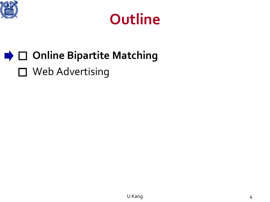



### $\rightarrow$  **□ Online Bipartite Matching** □ Web Advertising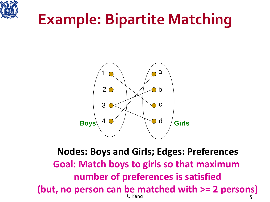

### **Example: Bipartite Matching**



U Kang taun 1988 (1989) na sa taun 1988. Ilaah sa taun 1988 (1989) na sa taon 1988. Ilaa sa ta'u san 1988 (198 **Nodes: Boys and Girls; Edges: Preferences Goal: Match boys to girls so that maximum number of preferences is satisfied (but, no person can be matched with >= 2 persons)**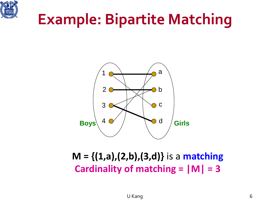

### **Example: Bipartite Matching**



#### **M = {(1,a),(2,b),(3,d)}** is a **matching Cardinality of matching = |M| = 3**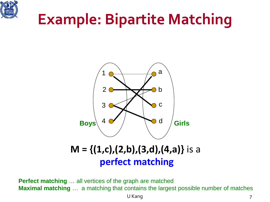

### **Example: Bipartite Matching**



#### **M = {(1,c),(2,b),(3,d),(4,a)}** is a **perfect matching**

**Perfect matching** … all vertices of the graph are matched **Maximal matching** ... a matching that contains the largest possible number of matches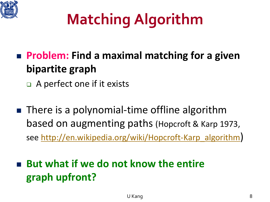

# **Matching Algorithm**

- **Problem: Find a maximal matching for a given bipartite graph**
	- A perfect one if it exists
- There is a polynomial-time offline algorithm based on augmenting paths (Hopcroft & Karp 1973, see [http://en.wikipedia.org/wiki/Hopcroft-Karp\\_algorithm\)](http://en.wikipedia.org/wiki/Hopcroft-Karp_algorithm)

 **But what if we do not know the entire graph upfront?**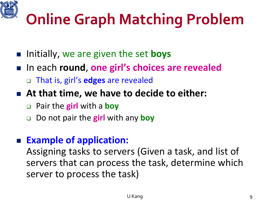

## **Online Graph Matching Problem**

- Initially, we are given the set **boys**
- In each **round**, one girl's choices are revealed That is, girl's **edges** are revealed
- **At that time, we have to decide to either:**
	- Pair the **girl** with a **boy**
	- Do not pair the **girl** with any **boy**

#### **Example of application:**

Assigning tasks to servers (Given a task, and list of servers that can process the task, determine which server to process the task)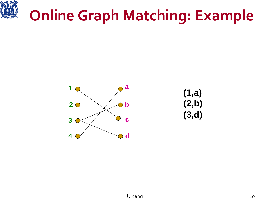

### **Online Graph Matching: Example**



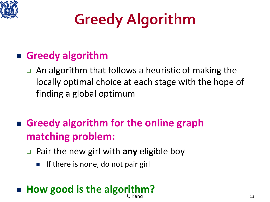

# **Greedy Algorithm**

### **Greedy algorithm**

- An algorithm that follows a heuristic of making the locally optimal choice at each stage with the hope of finding a global optimum
- **Greedy algorithm for the online graph matching problem:**
	- Pair the new girl with **any** eligible boy
		- If there is none, do not pair girl

#### U Kang 11 **How good is the algorithm?**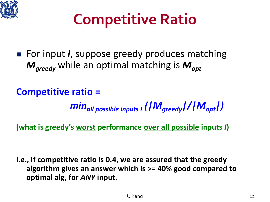

### **Competitive Ratio**

■ For input *I*, suppose greedy produces matching *M<sub>greedy</sub>* while an optimal matching is *M*<sub>opt</sub>

**Competitive ratio =** 

*minall possible inputs I (|Mgreedy|/|Mopt|)*

**(what is greedy's worst performance over all possible inputs** *I***)**

**I.e., if competitive ratio is 0.4, we are assured that the greedy algorithm gives an answer which is >= 40% good compared to optimal alg, for** *ANY* **input.**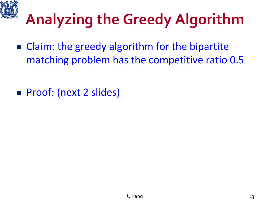

## **Analyzing the Greedy Algorithm**

- Claim: the greedy algorithm for the bipartite matching problem has the competitive ratio 0.5
- **Proof: (next 2 slides)**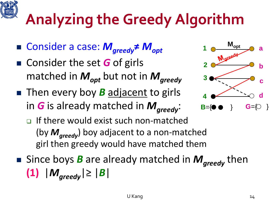# **Analyzing the Greedy Algorithm**

- Consider a case:  $M_{greedy}$ **≠**  $M_{opt}$
- Consider the set **G** of girls matched in  $M_{opt}$  but not in  $M_{greedy}$
- **Then every boy** *B* adjacent to girls in *G* is already matched in *M*<sub>areedy</sub>:



- **If there would exist such non-matched** (by *Mgreedy*) boy adjacent to a non-matched girl then greedy would have matched them
- Since boys *B* are already matched in *M*<sub>areedy</sub> then **(1)** |  $M_{\text{areedv}}$ |≥ |  $B$ |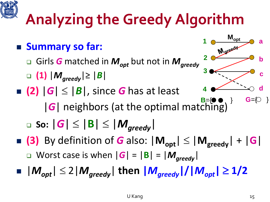# **Analyzing the Greedy Algorithm**

 **Summary so far:** □ Girls *G* matched in  $M_{opt}$  but not in  $M_{greedy}$  **(1)** |*Mgreedy*|≥ |*B*| **(2)**  $|G| \leq |B|$ , since *G* has at least |*G*| neighbors (at the optimal matching)  $\Box$  So:  $|G| \leq |B| \leq |M_{greedy}|$  $\blacksquare$  **(3)** By definition of **G** also:  $|M_{opt}| \leq |M_{greedy}| + |G|$ Worst case is when  $|G| = |B| = |M_{greedy}|$  $|\mathcal{M}_{opt}| \leq 2|\mathcal{M}_{greedy}|$  then  $|\mathcal{M}_{greedy}|/|\mathcal{M}_{opt}| \geq 1/2$ **a b c d G**={ } **M**<sub>opt</sub><br>Mareedy **2 3 4**

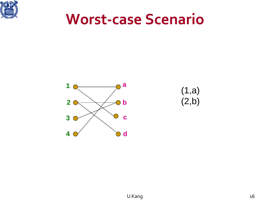

### **Worst-case Scenario**



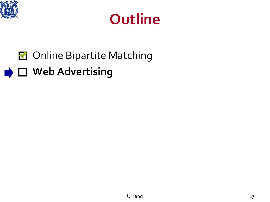



### **M** Online Bipartite Matching

### **■ □ Web Advertising**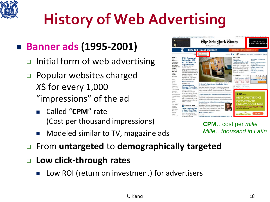

# **History of Web Advertising**

### **Banner ads (1995-2001)**

- $\Box$  Initial form of web advertising
- **D** Popular websites charged *X*\$ for every 1,000 "impressions" of the ad
	- Called "**CPM**" rate (Cost per thousand impressions)
	- Modeled similar to TV, magazine ads
- From **untargeted** to **demographically targeted**
- **Low click-through rates**
	- Low ROI (return on investment) for advertisers

|                                                                                                                                                                                                                                                                                 |                                                                                                                                                                                                                                                                                                                                                                                                                                                  | The New Hork Times<br>Monday, March 12, 2012 Last Update: 1:02 AM ET                                                                                                                                                                                                                                                                                                                                                                                                                                                                                                                                                                                                                                                             |                                                                                                                                                                                                                                                                                                                                                                                                                                                                                                                                                                                                                                                    | SHOP NOW AT<br>MARCJACOBS.COM                                                                                                                                                                                                                                                                                  |
|---------------------------------------------------------------------------------------------------------------------------------------------------------------------------------------------------------------------------------------------------------------------------------|--------------------------------------------------------------------------------------------------------------------------------------------------------------------------------------------------------------------------------------------------------------------------------------------------------------------------------------------------------------------------------------------------------------------------------------------------|----------------------------------------------------------------------------------------------------------------------------------------------------------------------------------------------------------------------------------------------------------------------------------------------------------------------------------------------------------------------------------------------------------------------------------------------------------------------------------------------------------------------------------------------------------------------------------------------------------------------------------------------------------------------------------------------------------------------------------|----------------------------------------------------------------------------------------------------------------------------------------------------------------------------------------------------------------------------------------------------------------------------------------------------------------------------------------------------------------------------------------------------------------------------------------------------------------------------------------------------------------------------------------------------------------------------------------------------------------------------------------------------|----------------------------------------------------------------------------------------------------------------------------------------------------------------------------------------------------------------------------------------------------------------------------------------------------------------|
|                                                                                                                                                                                                                                                                                 |                                                                                                                                                                                                                                                                                                                                                                                                                                                  | <b>Get a Full Times Experience.</b>                                                                                                                                                                                                                                                                                                                                                                                                                                                                                                                                                                                                                                                                                              | <b>BECOME A DIGITAL SUBSCRIBER &gt;</b>                                                                                                                                                                                                                                                                                                                                                                                                                                                                                                                                                                                                            |                                                                                                                                                                                                                                                                                                                |
| <b>WORLD</b><br>it.s.<br>POLITICS.<br><b>NEW YORK</b><br><b>BUSINESS</b><br><b>DEALBOOK</b><br><b>TECHNOLOGY</b><br><b>SPORTS</b><br><b>SCIENCE</b><br><b>HEALTH</b><br><b>ARTS</b><br><b>STYLE</b><br>OPINION<br>Autos<br>Blogs.<br>Books<br>Cartonna<br>Classifieds           | Nea<br><b>U.S. Sergeant</b><br><b>Is Said to Kill</b><br>16 Civilians in<br><b>Afghanistan</b><br><b>By TAIMOOR SHAILAND</b><br>GRAHAM BOWLEY<br>Nine children were among<br>the dead after an American<br>soldier stalked from home to<br>home in attacks in a rural<br>stretch of southern<br>Afghanistan, Afghan and<br>American officials said.<br>甲 Read Comments (584)<br>NEWS ANALYSIS<br>In Assessing the<br><b>Damage</b> , Fears of an | <b>ING BUDIRECT</b><br>A Group's Experience Speaks for Users<br>By JESSE Magne EY                                                                                                                                                                                                                                                                                                                                                                                                                                                                                                                                                                                                                                                | Follow Us <b>ET 30   THE P - Subscribe to Home Delivery   Personalize Your Weather</b><br>OPINION »<br>EDITORIAL<br><b>The Nuclear</b><br>'Implementation Study'<br>President Obama has the<br>opportunity to reshape the<br>post-cold-war world to make<br>it fundamentally safer by<br>reducing nuclear arsenals.<br>He needs to seize it.<br><b>MARKETS</b><br>At 1.32 AM ET<br><b>JAPAN</b><br>Niklai HangSeng Shanghai<br>9,913.76<br>20,998,03<br>2,438,04<br>$-15.98$<br>$-87.07$<br>Ramin Richmier for The New York Times<br>$-0.10%$<br>$-0.42%$<br>$-0.88$ %<br>Data delayed at least 12 minutes<br><b>GET QUOTES</b><br>My Portfolios » | - Krugman: What Greece<br>Means<br>- Edsall: The Reproduction<br>of Privilege<br>- Op-Ed: The Constitution<br>- Op-Ed: Asleep at the<br>Controls<br>- The Stone: Defending<br>Science<br><b><i>The New Hork Times</i></b><br><b>CHOUR</b><br><b>SPECIAL OFFER</b><br>4 WEEKS FOR 99¢<br>$-13.42$<br>THY IT NOW |
| Crosswords<br>Dining & Wine<br>Education<br>Fuent Guide<br>Fashion & Style<br><b>Home &amp; Garden</b><br><b>John</b><br>Meyles.<br>Misic <sup>1</sup><br>Ohhuanes<br>Real Estate<br>Sunday<br>Magazine<br>Tilsparine<br><b>Television</b><br>Theater<br>Texaver.<br>Weddings / | <b>Emboldened Taliban</b><br>By DAVID-E. SANGER<br>The effects of Sunday's<br>attack on civilians and the<br>recent burning of Korans<br>imperil President Obama's<br>plan to hand control to the<br>Afghans while drawing the<br>Taliban to talks.<br>CAMPAIGN 2012<br><b>Labor Leaders Plan</b><br>to Apply New Clout<br>in Effort for Obama<br>By STEVEN GREENHOUSE<br>A 2010 ruling that set the<br>stage for unlimited                      | The San Francisco Drug Users' Union is one of several<br>North American groups that advocate for drug users'<br>rights. Above, a weekly support group at the union office.<br>Occupy Protesters Complain of Police Surveillance<br>By COLIN MOVIEHAN<br>Organizers worry that they are under scrutiny with the<br>same controversial methods used in Muslim communities.<br>Health Care Act Offers Roberts a Signature Case<br>B2 ADAM LIPTAR<br>Considered likely to join the Supreme Court<br>majority either way the case is decided.<br>Chief Justice John G. Roberts Jr. may never<br>encounter a more important ruling.<br>P Post a Comment I Read (82)<br>ANALYSIS<br>Lower Profile, but No Longer Overlooked in N.C.A.A. | Stock, ETFA, Funda<br>a-list<br><b>PERFORMED BY</b><br>Cities good with hist manifestable<br>audible.con                                                                                                                                                                                                                                                                                                                                                                                                                                                                                                                                           | Go.<br><b>HEAR GREAT BOOKS</b><br><b>HOLLYWOOD'S FINEST</b><br>GET ONE OF THESE BOOKS FREE<br>GO NOW                                                                                                                                                                                                           |

**CPM**…cost per *mille Mille…thousand in Latin*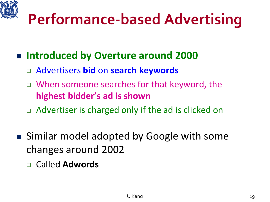## **Performance-based Advertising**

- **Introduced by Overture around 2000**
	- Advertisers **bid** on **search keywords**
	- □ When someone searches for that keyword, the **highest bidder's ad is shown**
	- □ Advertiser is charged only if the ad is clicked on
- Similar model adopted by Google with some changes around 2002
	- Called **Adwords**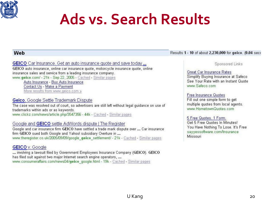

### **Ads vs. Search Results**

#### **Web**

Results 1 - 10 of about 2,230,000 for geico. (0.04 seco

GEICO Car Insurance. Get an auto insurance quote and save today...

GEICO auto insurance, online car insurance quote, motorcycle insurance quote, online insurance sales and service from a leading insurance company. www.geico.com/ - 21k - Sep 22, 2005 - Cached - Similar pages

Auto Insurance - Buy Auto Insurance Contact Us - Make a Payment More results from www.geico.com »

#### Geico, Google Settle Trademark Dispute

The case was resolved out of court, so advertisers are still left without legal guidance on use of trademarks within ads or as keywords. www.clickz.com/news/article.php/3547356 - 44k - Cached - Similar pages

#### Google and GEICO settle AdWords dispute | The Register

Google and car insurance firm GEICO have settled a trade mark dispute over ... Car insurance firm GEICO sued both Google and Yahoo! subsidiary Overture in ... www.theregister.co.uk/2005/09/09/google geico settlement/ - 21k - Cached - Similar pages

#### **GEICO** v. Google

... involving a lawsuit filed by Government Employees Insurance Company (GEICO). GEICO has filed suit against two major Internet search engine operators, ... www.consumeraffairs.com/news04/geico\_google.html - 19k - Cached - Similar pages

Sponsored Links

Great Car Insurance Rates Simplify Buying Insurance at Safeco See Your Rate with an Instant Quote www.Safeco.com

**Free Insurance Quotes** Fill out one simple form to get multiple quotes from local agents. www.HometownQuotes.com

5 Free Quotes, 1 Form. Get 5 Free Quotes In Minutes! You Have Nothing To Lose. It's Free sayyessoftware.com/Insurance Missouri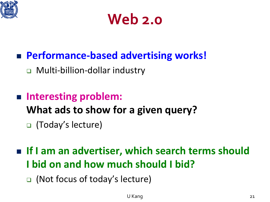

### **Web 2.0**

### **Performance-based advertising works!**

Multi-billion-dollar industry

- **Interesting problem: What ads to show for a given query?**  (Today's lecture)
- **If I am an advertiser, which search terms should I bid on and how much should I bid?** 
	- (Not focus of today's lecture)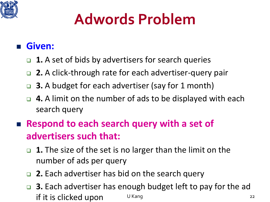

### **Adwords Problem**

#### **Given:**

- **1.** A set of bids by advertisers for search queries
- **2.** A click-through rate for each advertiser-query pair
- **3.** A budget for each advertiser (say for 1 month)
- **4.** A limit on the number of ads to be displayed with each search query
- **Respond to each search query with a set of advertisers such that:**
	- **1.** The size of the set is no larger than the limit on the number of ads per query
	- **2.** Each advertiser has bid on the search query
	- U Kang 22 **3.** Each advertiser has enough budget left to pay for the ad if it is clicked upon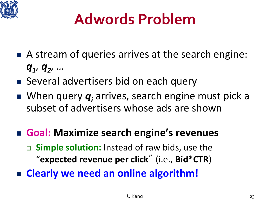

### **Adwords Problem**

- A stream of queries arrives at the search engine: *q1, q2, …*
- Several advertisers bid on each query
- When query  $q_i$  arrives, search engine must pick a subset of advertisers whose ads are shown
- **Goal: Maximize search engine's revenues Simple solution:** Instead of raw bids, use the "**expected revenue per click**" (i.e., **Bid\*CTR**) **Clearly we need an online algorithm!**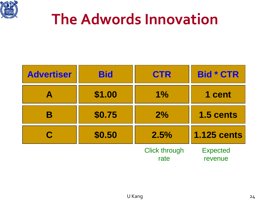

### **The Adwords Innovation**

| <b>Advertiser</b> | <b>Bid</b> | <b>CTR</b>                   | <b>Bid * CTR</b>           |
|-------------------|------------|------------------------------|----------------------------|
|                   | \$1.00     | 1%                           | 1 cent                     |
|                   | \$0.75     | 2%                           | 1.5 cents                  |
| C                 | \$0.50     | 2.5%                         | <b>1.125 cents</b>         |
|                   |            | <b>Click through</b><br>rate | <b>Expected</b><br>revenue |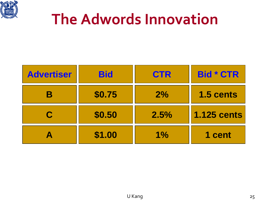

### **The Adwords Innovation**

| <b>Advertiser</b> | <b>Bid</b> | <b>CTR</b> | <b>Bid * CTR</b>   |
|-------------------|------------|------------|--------------------|
|                   | \$0.75     | 2%         | 1.5 cents          |
| C                 | \$0.50     | 2.5%       | <b>1.125 cents</b> |
|                   | \$1.00     | 1%         | 1 cent             |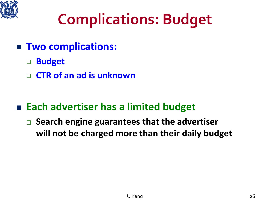

### **Complications: Budget**

- **Two complications:**
	- **Budget**
	- **CTR of an ad is unknown**

#### **Each advertiser has a limited budget**

□ Search engine guarantees that the advertiser **will not be charged more than their daily budget**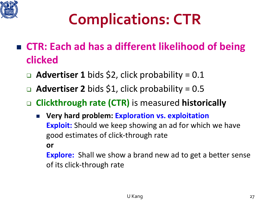

## **Complications: CTR**

- **CTR: Each ad has a different likelihood of being clicked**
	- **Advertiser 1** bids \$2, click probability = 0.1
	- **Advertiser 2** bids \$1, click probability = 0.5
	- **Clickthrough rate (CTR)** is measured **historically**
		- **Very hard problem: Exploration vs. exploitation Exploit:** Should we keep showing an ad for which we have good estimates of click-through rate **or**

**Explore:** Shall we show a brand new ad to get a better sense of its click-through rate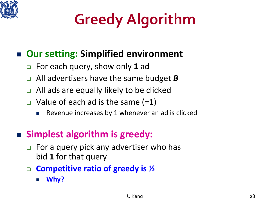

# **Greedy Algorithm**

#### **Our setting: Simplified environment**

- For each query, show only **1** ad
- All advertisers have the same budget *B*
- All ads are equally likely to be clicked
- Value of each ad is the same (=**1**)
	- Revenue increases by 1 whenever an ad is clicked

#### **Simplest algorithm is greedy:**

- For a query pick any advertiser who has bid **1** for that query
- **Competitive ratio of greedy is ½**
	- **Why?**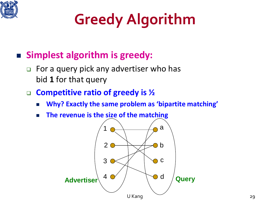

# **Greedy Algorithm**

#### **Simplest algorithm is greedy:**

□ For a query pick any advertiser who has bid **1** for that query

#### **Competitive ratio of greedy is ½**

- **Why? Exactly the same problem as 'bipartite matching'**
- **The revenue is the size of the matching**

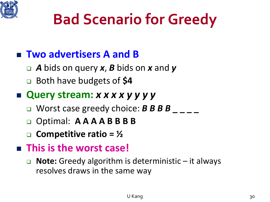

### **Bad Scenario for Greedy**

### **Two advertisers A and B**

- *A* bids on query *x*, *B* bids on *x* and *y*
- Both have budgets of **\$4**

#### **Query stream:** *x x x x y y y y*

- Worst case greedy choice: *B**B**B**B* \_ \_ \_ \_
- Optimal: **A A A A B B B B**
- **Competitive ratio = ½**

#### **This is the worst case!**

 **Note:** Greedy algorithm is deterministic – it always resolves draws in the same way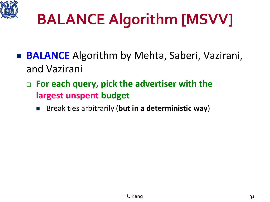

# **BALANCE Algorithm [MSVV]**

- **BALANCE** Algorithm by Mehta, Saberi, Vazirani, and Vazirani
	- **For each query, pick the advertiser with the largest unspent budget**
		- Break ties arbitrarily (**but in a deterministic way**)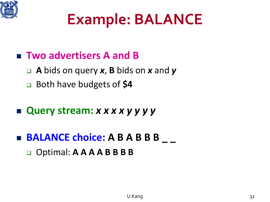

### **Example: BALANCE**

#### **Two advertisers A and B**

- **A** bids on query *x*, **B** bids on *x* and *y*
- Both have budgets of **\$4**

#### **Query stream:** *x x x x y y y y*

### **BALANCE choice: A B A B B B \_ \_** Optimal: **A A A A B B B B**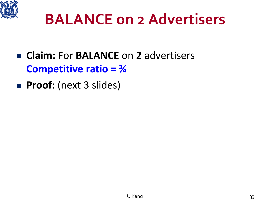

- **Claim:** For **BALANCE** on **2** advertisers **Competitive ratio = ¾**
- **Proof:** (next 3 slides)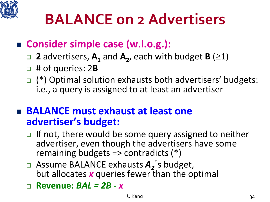

#### ■ Consider simple case (w.l.o.g.):

- **2** advertisers,  $A_1$  and  $A_2$ , each with budget **B** ( $\geq$ 1)
- # of queries: 2**B**
- □ (\*) Optimal solution exhausts both advertisers' budgets: i.e., a query is assigned to at least an advertiser

#### ■ **BALANCE** must exhaust at least one **advertiser's budget:**

- $\Box$  If not, there would be some query assigned to neither advertiser, even though the advertisers have some remaining budgets => contradicts (\*)
- □ Assume BALANCE exhausts  $A_2$ 's budget, but allocates *x* queries fewer than the optimal
- **Revenue:** *BAL = 2B - x*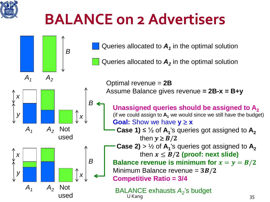

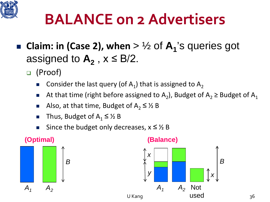

- **Claim: in (Case 2), when**  $>$   $\frac{1}{2}$  of  $A_1$ 's queries got assigned to  $A_2$ ,  $x \leq B/2$ .
	- (Proof)
		- Consider the last query (of  $A_1$ ) that is assigned to  $A_2$
		- At that time (right before assigned to A<sub>2</sub>), Budget of A<sub>2</sub> ≥ Budget of A<sub>1</sub>
		- Also, at that time, Budget of  $A_2 \leq \frac{1}{2}B$
		- Thus, Budget of  $A_1 \leq \frac{1}{2}B$
		- Since the budget only decreases,  $x \leq \frac{1}{2}B$

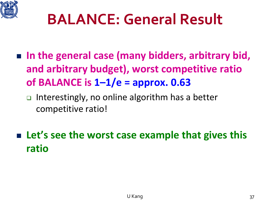

### **BALANCE: General Result**

- In the general case (many bidders, arbitrary bid, **and arbitrary budget), worst competitive ratio of BALANCE is 1–1/e = approx. 0.63**
	- □ Interestingly, no online algorithm has a better competitive ratio!
- Let's see the worst case example that gives this **ratio**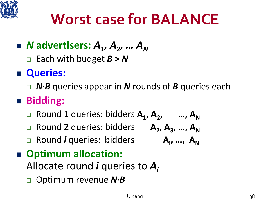

### **Worst case for BALANCE**

### ■ *N* advertisers:  $A_1$ ,  $A_2$ , ...  $A_N$

□ Each with budget  $B > N$ 

### **Queries:**

*N∙B* queries appear in *N* rounds of *B* queries each

### **Bidding:**

- □ Round 1 queries: bidders A<sub>1</sub>, A<sub>2</sub>, …, A<sub>N</sub>
- □ Round 2 queries: bidders **A<sub>2</sub>, A<sub>3</sub>, ..., A<sub>N</sub>**
- Round *i* queries: bidders **Ai**

# $A_{i}, \ldots, A_{N}$

#### ■ Optimum allocation:

Allocate round *i* queries to *Ai*

Optimum revenue *N***∙***B*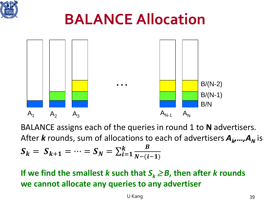

### **BALANCE Allocation**



BALANCE assigns each of the queries in round 1 to **N** advertisers. After *k* rounds, sum of allocations to each of advertisers  $A_k$ ,..., $A_N$  is  $S_k = S_{k+1} = \cdots = S_N = \sum_{i=1}^n$  $\begin{array}{cc} k & B \\ \hline 1 & 1 \end{array}$  $N-(i-1)$ 

**If we find the smallest** *k* **such that**  $S_k \geq B$ **, then after** *k* **rounds we cannot allocate any queries to any advertiser**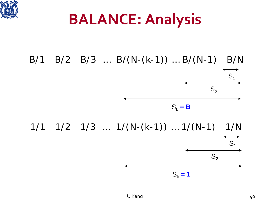

### **BALANCE: Analysis**

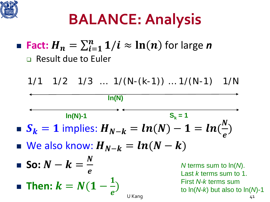

## **BALANCE: Analysis**

### ■ Fact:  ${H}_n = \sum_{i=1}^n 1/i \approx \ln(n)$  for large *n* **Result due to Euler**

$$
1/1 \quad 1/2 \quad 1/3 \quad ... \quad 1/(N-(k-1)) \quad ... \quad 1/(N-1) \quad 1/N
$$

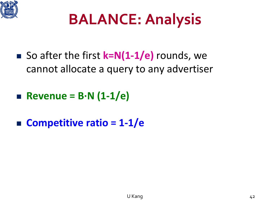

## **BALANCE: Analysis**

- So after the first **k=N(1-1/e)** rounds, we cannot allocate a query to any advertiser
- **Revenue = B∙N (1-1/e)**
- **Competitive ratio = 1-1/e**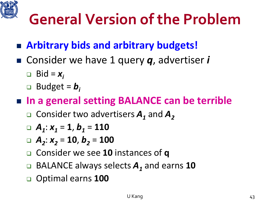

### **General Version of the Problem**

### **Arbitrary bids and arbitrary budgets!**

- Consider we have 1 query  $q$ , advertiser *i* 
	- $\Box$  Bid =  $x_i$
	- **Budget =**  $b_i$

#### ■ In a general setting BALANCE can be terrible

□ Consider two advertisers  $A_1$  and  $A_2$ 

$$
A_1: x_1 = 1, b_1 = 110
$$

$$
A_2: x_2 = 10, b_2 = 100
$$

- Consider we see **10** instances of **q**
- □ BALANCE always selects  $A_1$  and earns 10
- Optimal earns **100**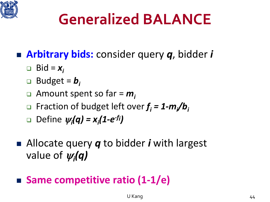

### **Generalized BALANCE**

- **Arbitrary bids:** consider query *q*, bidder *i*
	- $\Box$  Bid =  $x_i$
	- **Budget =**  $b_i$
	- Amount spent so far = *mi*
	- Fraction of budget left over *fi = 1-mi /bi*
	- Define <sup>ψ</sup>*<sup>i</sup> (q) = xi (1-e-fi)*
- Allocate query **q** to bidder *i* with largest value of <sup>ψ</sup>*<sup>i</sup> (q)*

### ■ Same competitive ratio (1-1/e)